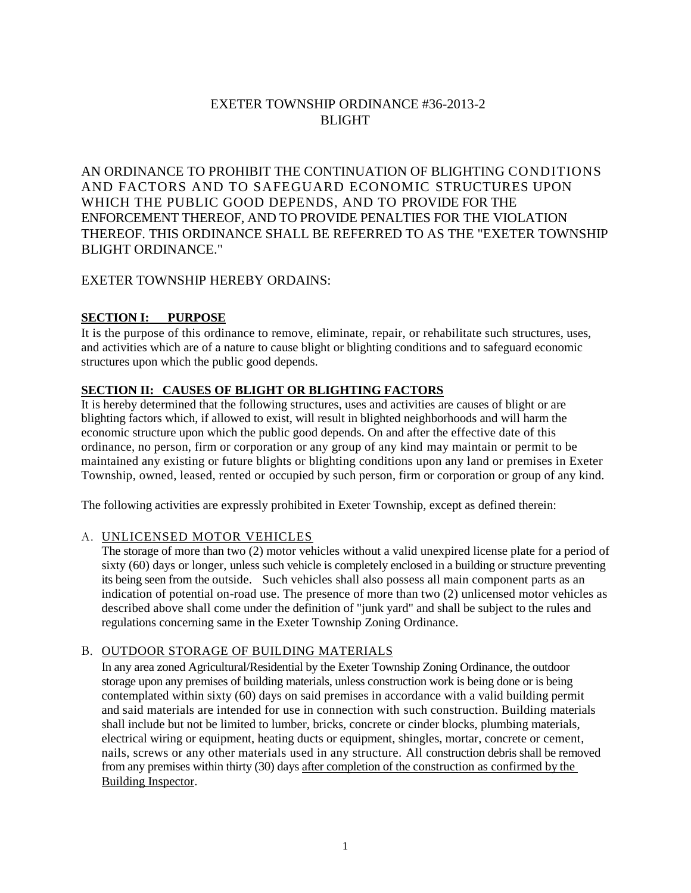# EXETER TOWNSHIP ORDINANCE #36-2013-2 **BLIGHT**

AN ORDINANCE TO PROHIBIT THE CONTINUATION OF BLIGHTING CONDITIONS AND FACTORS AND TO SAFEGUARD ECONOMIC STRUCTURES UPON WHICH THE PUBLIC GOOD DEPENDS, AND TO PROVIDE FOR THE ENFORCEMENT THEREOF, AND TO PROVIDE PENALTIES FOR THE VIOLATION THEREOF. THIS ORDINANCE SHALL BE REFERRED TO AS THE "EXETER TOWNSHIP BLIGHT ORDINANCE."

# EXETER TOWNSHIP HEREBY ORDAINS:

# **SECTION I: PURPOSE**

It is the purpose of this ordinance to remove, eliminate, repair, or rehabilitate such structures, uses, and activities which are of a nature to cause blight or blighting conditions and to safeguard economic structures upon which the public good depends.

# **SECTION II: CAUSES OF BLIGHT OR BLIGHTING FACTORS**

It is hereby determined that the following structures, uses and activities are causes of blight or are blighting factors which, if allowed to exist, will result in blighted neighborhoods and will harm the economic structure upon which the public good depends. On and after the effective date of this ordinance, no person, firm or corporation or any group of any kind may maintain or permit to be maintained any existing or future blights or blighting conditions upon any land or premises in Exeter Township, owned, leased, rented or occupied by such person, firm or corporation or group of any kind.

The following activities are expressly prohibited in Exeter Township, except as defined therein:

# A. UNLICENSED MOTOR VEHICLES

The storage of more than two (2) motor vehicles without a valid unexpired license plate for a period of sixty (60) days or longer, unless such vehicle is completely enclosed in a building or structure preventing its being seen from the outside. Such vehicles shall also possess all main component parts as an indication of potential on-road use. The presence of more than two (2) unlicensed motor vehicles as described above shall come under the definition of "junk yard" and shall be subject to the rules and regulations concerning same in the Exeter Township Zoning Ordinance.

# B. OUTDOOR STORAGE OF BUILDING MATERIALS

In any area zoned Agricultural/Residential by the Exeter Township Zoning Ordinance, the outdoor storage upon any premises of building materials, unless construction work is being done or is being contemplated within sixty (60) days on said premises in accordance with a valid building permit and said materials are intended for use in connection with such construction. Building materials shall include but not be limited to lumber, bricks, concrete or cinder blocks, plumbing materials, electrical wiring or equipment, heating ducts or equipment, shingles, mortar, concrete or cement, nails, screws or any other materials used in any structure. All construction debris shall be removed from any premises within thirty (30) days after completion of the construction as confirmed by the Building Inspector.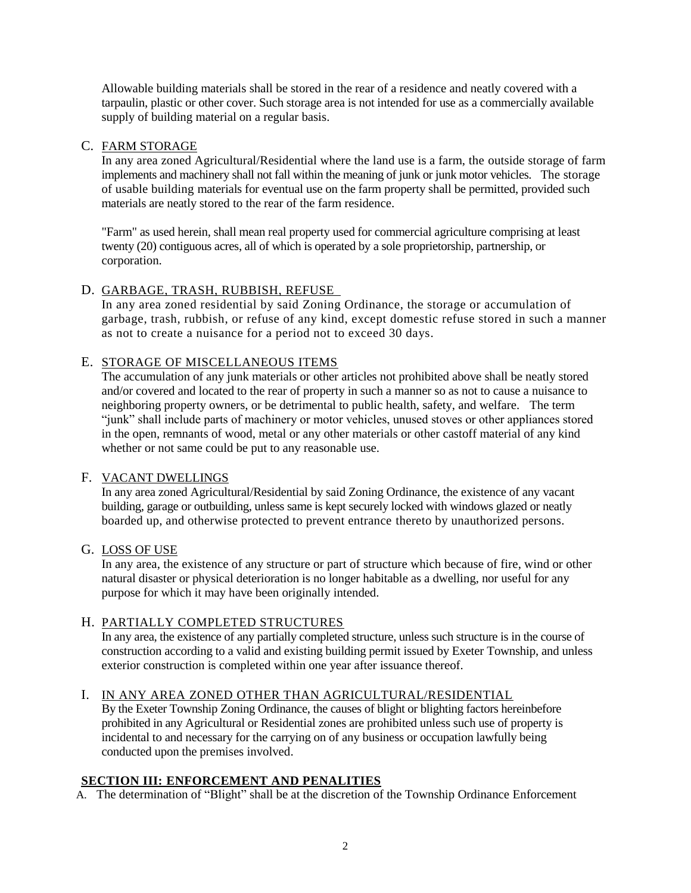Allowable building materials shall be stored in the rear of a residence and neatly covered with a tarpaulin, plastic or other cover. Such storage area is not intended for use as a commercially available supply of building material on a regular basis.

### C. FARM STORAGE

In any area zoned Agricultural/Residential where the land use is a farm, the outside storage of farm implements and machinery shall not fall within the meaning of junk or junk motor vehicles. The storage of usable building materials for eventual use on the farm property shall be permitted, provided such materials are neatly stored to the rear of the farm residence.

"Farm" as used herein, shall mean real property used for commercial agriculture comprising at least twenty (20) contiguous acres, all of which is operated by a sole proprietorship, partnership, or corporation.

# D. GARBAGE, TRASH, RUBBISH, REFUSE

In any area zoned residential by said Zoning Ordinance, the storage or accumulation of garbage, trash, rubbish, or refuse of any kind, except domestic refuse stored in such a manner as not to create a nuisance for a period not to exceed 30 days.

# E. STORAGE OF MISCELLANEOUS ITEMS

The accumulation of any junk materials or other articles not prohibited above shall be neatly stored and/or covered and located to the rear of property in such a manner so as not to cause a nuisance to neighboring property owners, or be detrimental to public health, safety, and welfare. The term "junk" shall include parts of machinery or motor vehicles, unused stoves or other appliances stored in the open, remnants of wood, metal or any other materials or other castoff material of any kind whether or not same could be put to any reasonable use.

#### F. VACANT DWELLINGS

In any area zoned Agricultural/Residential by said Zoning Ordinance, the existence of any vacant building, garage or outbuilding, unless same is kept securely locked with windows glazed or neatly boarded up, and otherwise protected to prevent entrance thereto by unauthorized persons.

#### G. LOSS OF USE

In any area, the existence of any structure or part of structure which because of fire, wind or other natural disaster or physical deterioration is no longer habitable as a dwelling, nor useful for any purpose for which it may have been originally intended.

#### H. PARTIALLY COMPLETED STRUCTURES

In any area, the existence of any partially completed structure, unless such structure is in the course of construction according to a valid and existing building permit issued by Exeter Township, and unless exterior construction is completed within one year after issuance thereof.

### I. IN ANY AREA ZONED OTHER THAN AGRICULTURAL/RESIDENTIAL

By the Exeter Township Zoning Ordinance, the causes of blight or blighting factors hereinbefore prohibited in any Agricultural or Residential zones are prohibited unless such use of property is incidental to and necessary for the carrying on of any business or occupation lawfully being conducted upon the premises involved.

### **SECTION III: ENFORCEMENT AND PENALITIES**

A. The determination of "Blight" shall be at the discretion of the Township Ordinance Enforcement